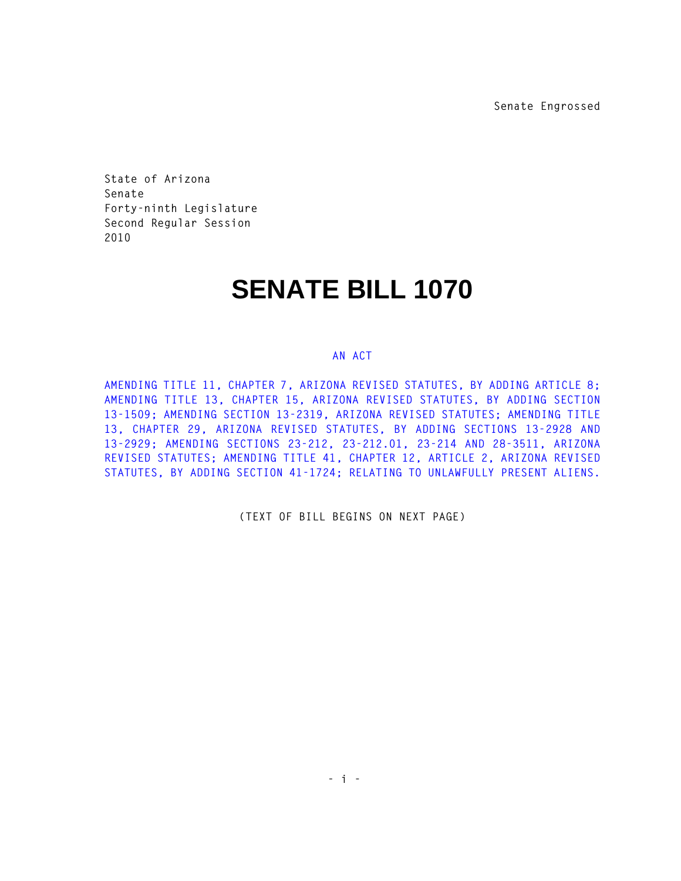**Senate Engrossed**

**State of Arizona Senate Forty-ninth Legislature Second Regular Session 2010** 

## **SENATE BILL 1070**

## **AN ACT**

**AMENDING TITLE 11, CHAPTER 7, ARIZONA REVISED STATUTES, BY ADDING ARTICLE 8; AMENDING TITLE 13, CHAPTER 15, ARIZONA REVISED STATUTES, BY ADDING SECTION 13-1509; AMENDING SECTION 13-2319, ARIZONA REVISED STATUTES; AMENDING TITLE 13, CHAPTER 29, ARIZONA REVISED STATUTES, BY ADDING SECTIONS 13-2928 AND 13-2929; AMENDING SECTIONS 23-212, 23-212.01, 23-214 AND 28-3511, ARIZONA REVISED STATUTES; AMENDING TITLE 41, CHAPTER 12, ARTICLE 2, ARIZONA REVISED STATUTES, BY ADDING SECTION 41-1724; RELATING TO UNLAWFULLY PRESENT ALIENS.** 

**(TEXT OF BILL BEGINS ON NEXT PAGE)**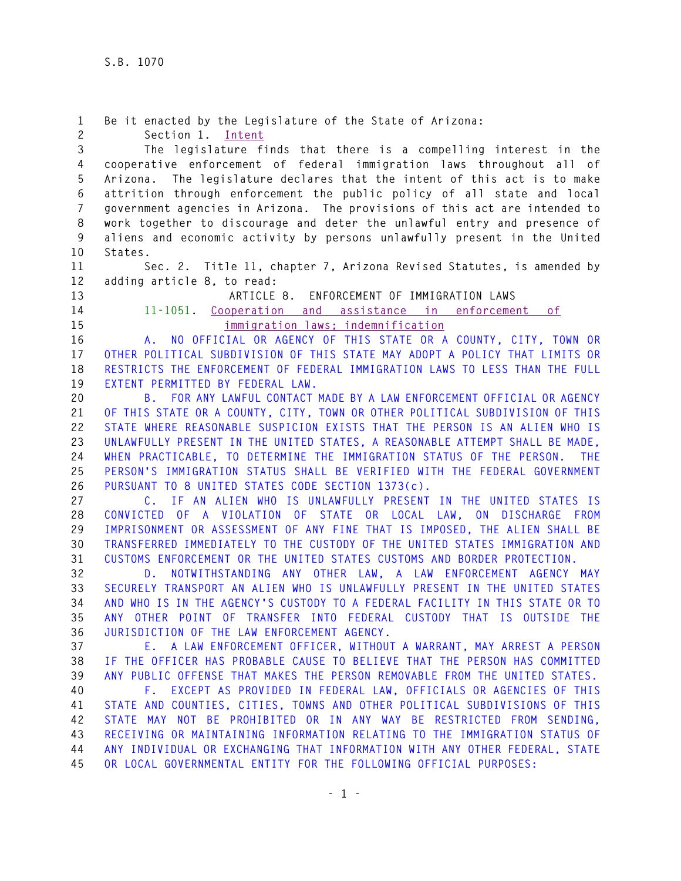**1 Be it enacted by the Legislature of the State of Arizona: 2 Section 1. Intent 3 The legislature finds that there is a compelling interest in the 4 cooperative enforcement of federal immigration laws throughout all of 5 Arizona. The legislature declares that the intent of this act is to make 6 attrition through enforcement the public policy of all state and local 7 government agencies in Arizona. The provisions of this act are intended to 8 work together to discourage and deter the unlawful entry and presence of 9 aliens and economic activity by persons unlawfully present in the United 10 States. 11 Sec. 2. Title 11, chapter 7, Arizona Revised Statutes, is amended by 12 adding article 8, to read: 13 ARTICLE 8. ENFORCEMENT OF IMMIGRATION LAWS 14 11-1051. Cooperation and assistance in enforcement of 15 immigration laws; indemnification 16 A. NO OFFICIAL OR AGENCY OF THIS STATE OR A COUNTY, CITY, TOWN OR 17 OTHER POLITICAL SUBDIVISION OF THIS STATE MAY ADOPT A POLICY THAT LIMITS OR 18 RESTRICTS THE ENFORCEMENT OF FEDERAL IMMIGRATION LAWS TO LESS THAN THE FULL 19 EXTENT PERMITTED BY FEDERAL LAW. 20 B. FOR ANY LAWFUL CONTACT MADE BY A LAW ENFORCEMENT OFFICIAL OR AGENCY 21 OF THIS STATE OR A COUNTY, CITY, TOWN OR OTHER POLITICAL SUBDIVISION OF THIS 22 STATE WHERE REASONABLE SUSPICION EXISTS THAT THE PERSON IS AN ALIEN WHO IS 23 UNLAWFULLY PRESENT IN THE UNITED STATES, A REASONABLE ATTEMPT SHALL BE MADE, 24 WHEN PRACTICABLE, TO DETERMINE THE IMMIGRATION STATUS OF THE PERSON. THE 25 PERSON'S IMMIGRATION STATUS SHALL BE VERIFIED WITH THE FEDERAL GOVERNMENT 26 PURSUANT TO 8 UNITED STATES CODE SECTION 1373(c). 27 C. IF AN ALIEN WHO IS UNLAWFULLY PRESENT IN THE UNITED STATES IS 28 CONVICTED OF A VIOLATION OF STATE OR LOCAL LAW, ON DISCHARGE FROM 29 IMPRISONMENT OR ASSESSMENT OF ANY FINE THAT IS IMPOSED, THE ALIEN SHALL BE 30 TRANSFERRED IMMEDIATELY TO THE CUSTODY OF THE UNITED STATES IMMIGRATION AND 31 CUSTOMS ENFORCEMENT OR THE UNITED STATES CUSTOMS AND BORDER PROTECTION. 32 D. NOTWITHSTANDING ANY OTHER LAW, A LAW ENFORCEMENT AGENCY MAY 33 SECURELY TRANSPORT AN ALIEN WHO IS UNLAWFULLY PRESENT IN THE UNITED STATES 34 AND WHO IS IN THE AGENCY'S CUSTODY TO A FEDERAL FACILITY IN THIS STATE OR TO 35 ANY OTHER POINT OF TRANSFER INTO FEDERAL CUSTODY THAT IS OUTSIDE THE 36 JURISDICTION OF THE LAW ENFORCEMENT AGENCY. 37 E. A LAW ENFORCEMENT OFFICER, WITHOUT A WARRANT, MAY ARREST A PERSON 38 IF THE OFFICER HAS PROBABLE CAUSE TO BELIEVE THAT THE PERSON HAS COMMITTED 39 ANY PUBLIC OFFENSE THAT MAKES THE PERSON REMOVABLE FROM THE UNITED STATES. 40 F. EXCEPT AS PROVIDED IN FEDERAL LAW, OFFICIALS OR AGENCIES OF THIS 41 STATE AND COUNTIES, CITIES, TOWNS AND OTHER POLITICAL SUBDIVISIONS OF THIS 42 STATE MAY NOT BE PROHIBITED OR IN ANY WAY BE RESTRICTED FROM SENDING, 43 RECEIVING OR MAINTAINING INFORMATION RELATING TO THE IMMIGRATION STATUS OF 44 ANY INDIVIDUAL OR EXCHANGING THAT INFORMATION WITH ANY OTHER FEDERAL, STATE 45 OR LOCAL GOVERNMENTAL ENTITY FOR THE FOLLOWING OFFICIAL PURPOSES:**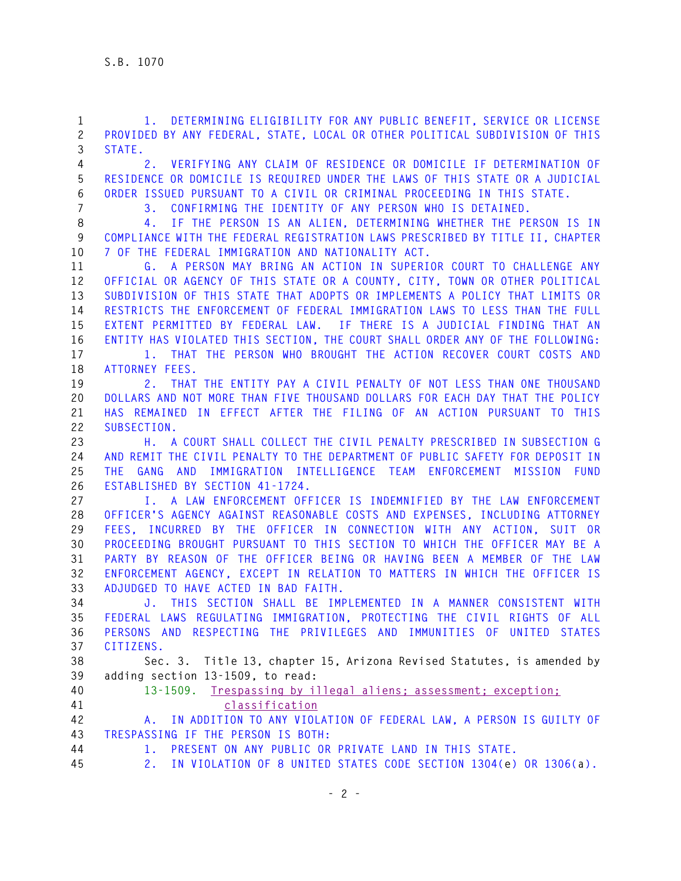**1 1. DETERMINING ELIGIBILITY FOR ANY PUBLIC BENEFIT, SERVICE OR LICENSE 2 PROVIDED BY ANY FEDERAL, STATE, LOCAL OR OTHER POLITICAL SUBDIVISION OF THIS 3 STATE.** 

**4 2. VERIFYING ANY CLAIM OF RESIDENCE OR DOMICILE IF DETERMINATION OF 5 RESIDENCE OR DOMICILE IS REQUIRED UNDER THE LAWS OF THIS STATE OR A JUDICIAL 6 ORDER ISSUED PURSUANT TO A CIVIL OR CRIMINAL PROCEEDING IN THIS STATE.** 

**7 3. CONFIRMING THE IDENTITY OF ANY PERSON WHO IS DETAINED.** 

**8 4. IF THE PERSON IS AN ALIEN, DETERMINING WHETHER THE PERSON IS IN 9 COMPLIANCE WITH THE FEDERAL REGISTRATION LAWS PRESCRIBED BY TITLE II, CHAPTER 10 7 OF THE FEDERAL IMMIGRATION AND NATIONALITY ACT.** 

**11 G. A PERSON MAY BRING AN ACTION IN SUPERIOR COURT TO CHALLENGE ANY 12 OFFICIAL OR AGENCY OF THIS STATE OR A COUNTY, CITY, TOWN OR OTHER POLITICAL 13 SUBDIVISION OF THIS STATE THAT ADOPTS OR IMPLEMENTS A POLICY THAT LIMITS OR 14 RESTRICTS THE ENFORCEMENT OF FEDERAL IMMIGRATION LAWS TO LESS THAN THE FULL 15 EXTENT PERMITTED BY FEDERAL LAW. IF THERE IS A JUDICIAL FINDING THAT AN 16 ENTITY HAS VIOLATED THIS SECTION, THE COURT SHALL ORDER ANY OF THE FOLLOWING:** 

**17 1. THAT THE PERSON WHO BROUGHT THE ACTION RECOVER COURT COSTS AND 18 ATTORNEY FEES.** 

**19 2. THAT THE ENTITY PAY A CIVIL PENALTY OF NOT LESS THAN ONE THOUSAND 20 DOLLARS AND NOT MORE THAN FIVE THOUSAND DOLLARS FOR EACH DAY THAT THE POLICY 21 HAS REMAINED IN EFFECT AFTER THE FILING OF AN ACTION PURSUANT TO THIS 22 SUBSECTION.** 

**23 H. A COURT SHALL COLLECT THE CIVIL PENALTY PRESCRIBED IN SUBSECTION G 24 AND REMIT THE CIVIL PENALTY TO THE DEPARTMENT OF PUBLIC SAFETY FOR DEPOSIT IN 25 THE GANG AND IMMIGRATION INTELLIGENCE TEAM ENFORCEMENT MISSION FUND 26 ESTABLISHED BY SECTION 41-1724.** 

**27 I. A LAW ENFORCEMENT OFFICER IS INDEMNIFIED BY THE LAW ENFORCEMENT 28 OFFICER'S AGENCY AGAINST REASONABLE COSTS AND EXPENSES, INCLUDING ATTORNEY 29 FEES, INCURRED BY THE OFFICER IN CONNECTION WITH ANY ACTION, SUIT OR 30 PROCEEDING BROUGHT PURSUANT TO THIS SECTION TO WHICH THE OFFICER MAY BE A 31 PARTY BY REASON OF THE OFFICER BEING OR HAVING BEEN A MEMBER OF THE LAW 32 ENFORCEMENT AGENCY, EXCEPT IN RELATION TO MATTERS IN WHICH THE OFFICER IS 33 ADJUDGED TO HAVE ACTED IN BAD FAITH.** 

**34 J. THIS SECTION SHALL BE IMPLEMENTED IN A MANNER CONSISTENT WITH 35 FEDERAL LAWS REGULATING IMMIGRATION, PROTECTING THE CIVIL RIGHTS OF ALL 36 PERSONS AND RESPECTING THE PRIVILEGES AND IMMUNITIES OF UNITED STATES 37 CITIZENS.** 

**38 Sec. 3. Title 13, chapter 15, Arizona Revised Statutes, is amended by 39 adding section 13-1509, to read:** 

**40 13-1509. Trespassing by illegal aliens; assessment; exception; 41 classification**

**42 A. IN ADDITION TO ANY VIOLATION OF FEDERAL LAW, A PERSON IS GUILTY OF 43 TRESPASSING IF THE PERSON IS BOTH:** 

**44 1. PRESENT ON ANY PUBLIC OR PRIVATE LAND IN THIS STATE.** 

**45 2. IN VIOLATION OF 8 UNITED STATES CODE SECTION 1304(e) OR 1306(a).**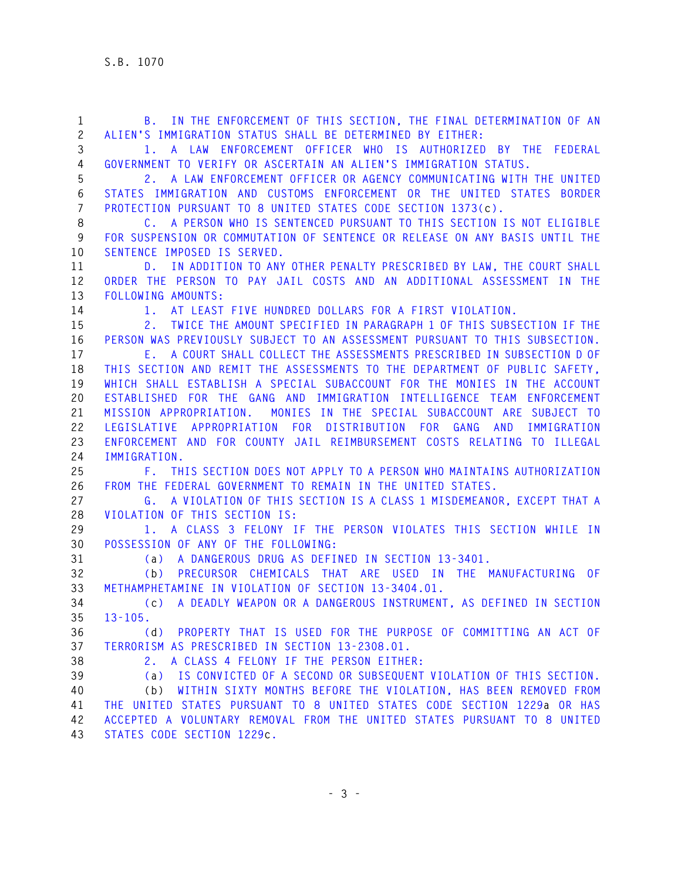| $\mathbf{1}$   | B. IN THE ENFORCEMENT OF THIS SECTION, THE FINAL DETERMINATION OF AN                                                                                         |
|----------------|--------------------------------------------------------------------------------------------------------------------------------------------------------------|
| $\mathbf{2}$   | ALIEN'S IMMIGRATION STATUS SHALL BE DETERMINED BY EITHER:                                                                                                    |
| 3              | 1. A LAW ENFORCEMENT OFFICER WHO IS AUTHORIZED BY THE FEDERAL                                                                                                |
| 4              | GOVERNMENT TO VERIFY OR ASCERTAIN AN ALIEN'S IMMIGRATION STATUS.                                                                                             |
| 5              | 2. A LAW ENFORCEMENT OFFICER OR AGENCY COMMUNICATING WITH THE UNITED                                                                                         |
| 6              | STATES IMMIGRATION AND CUSTOMS ENFORCEMENT OR THE UNITED STATES BORDER                                                                                       |
| $\overline{7}$ | PROTECTION PURSUANT TO 8 UNITED STATES CODE SECTION 1373(c).                                                                                                 |
| 8              | C. A PERSON WHO IS SENTENCED PURSUANT TO THIS SECTION IS NOT ELIGIBLE                                                                                        |
| 9              | FOR SUSPENSION OR COMMUTATION OF SENTENCE OR RELEASE ON ANY BASIS UNTIL THE                                                                                  |
| 10             | SENTENCE IMPOSED IS SERVED.                                                                                                                                  |
| 11             | D. IN ADDITION TO ANY OTHER PENALTY PRESCRIBED BY LAW, THE COURT SHALL                                                                                       |
| 12             | ORDER THE PERSON TO PAY JAIL COSTS AND AN ADDITIONAL ASSESSMENT IN THE                                                                                       |
| 13             | FOLLOWING AMOUNTS:                                                                                                                                           |
| 14             | AT LEAST FIVE HUNDRED DOLLARS FOR A FIRST VIOLATION.<br>1.                                                                                                   |
| 15             | TWICE THE AMOUNT SPECIFIED IN PARAGRAPH 1 OF THIS SUBSECTION IF THE<br>2.                                                                                    |
| 16             | PERSON WAS PREVIOUSLY SUBJECT TO AN ASSESSMENT PURSUANT TO THIS SUBSECTION.                                                                                  |
| 17             | E. A COURT SHALL COLLECT THE ASSESSMENTS PRESCRIBED IN SUBSECTION D OF                                                                                       |
| 18             | THIS SECTION AND REMIT THE ASSESSMENTS TO THE DEPARTMENT OF PUBLIC SAFETY,                                                                                   |
| 19             | WHICH SHALL ESTABLISH A SPECIAL SUBACCOUNT FOR THE MONIES IN THE ACCOUNT<br>ESTABLISHED FOR THE GANG AND IMMIGRATION INTELLIGENCE TEAM<br><b>FNFORCFMENT</b> |
| 20<br>21       | MISSION APPROPRIATION. MONIES IN THE SPECIAL SUBACCOUNT ARE SUBJECT TO                                                                                       |
| 22             | LEGISLATIVE APPROPRIATION FOR DISTRIBUTION FOR GANG AND<br>IMMIGRATION                                                                                       |
| 23             | ENFORCEMENT AND FOR COUNTY JAIL REIMBURSEMENT COSTS RELATING TO ILLEGAL                                                                                      |
| 24             | IMMIGRATION.                                                                                                                                                 |
| 25             | F. THIS SECTION DOES NOT APPLY TO A PERSON WHO MAINTAINS AUTHORIZATION                                                                                       |
| 26             | FROM THE FEDERAL GOVERNMENT TO REMAIN IN THE UNITED STATES.                                                                                                  |
| 27             | A VIOLATION OF THIS SECTION IS A CLASS 1 MISDEMEANOR, EXCEPT THAT A<br>G.                                                                                    |
| 28             | VIOLATION OF THIS SECTION IS:                                                                                                                                |
| 29             | 1. A CLASS 3 FELONY IF THE PERSON VIOLATES THIS SECTION WHILE IN                                                                                             |
| 30             | POSSESSION OF ANY OF THE FOLLOWING:                                                                                                                          |
| 31             | (a) A DANGEROUS DRUG AS DEFINED IN SECTION 13-3401.                                                                                                          |
| 32             | PRECURSOR CHEMICALS THAT ARE USED IN THE MANUFACTURING<br>(b)<br>OF                                                                                          |
| 33             | METHAMPHETAMINE IN VIOLATION OF SECTION 13-3404.01.                                                                                                          |
| 34             | A DEADLY WEAPON OR A DANGEROUS INSTRUMENT, AS DEFINED IN SECTION<br>(c)                                                                                      |
| 35             | $13 - 105.$                                                                                                                                                  |
| 36             | (d) PROPERTY THAT IS USED FOR THE PURPOSE OF COMMITTING AN ACT OF                                                                                            |
| 37             | TERRORISM AS PRESCRIBED IN SECTION 13-2308.01.                                                                                                               |
| 38             | 2. A CLASS 4 FELONY IF THE PERSON EITHER:                                                                                                                    |
| 39             | IS CONVICTED OF A SECOND OR SUBSEQUENT VIOLATION OF THIS SECTION.<br>(a)                                                                                     |
| 40             | WITHIN SIXTY MONTHS BEFORE THE VIOLATION, HAS BEEN REMOVED FROM<br>(b)                                                                                       |
| 41             | THE UNITED STATES PURSUANT TO 8 UNITED STATES CODE SECTION 1229a OR HAS                                                                                      |
| 42             | ACCEPTED A VOLUNTARY REMOVAL FROM THE UNITED STATES PURSUANT TO 8 UNITED                                                                                     |
| 43             | STATES CODE SECTION 1229c.                                                                                                                                   |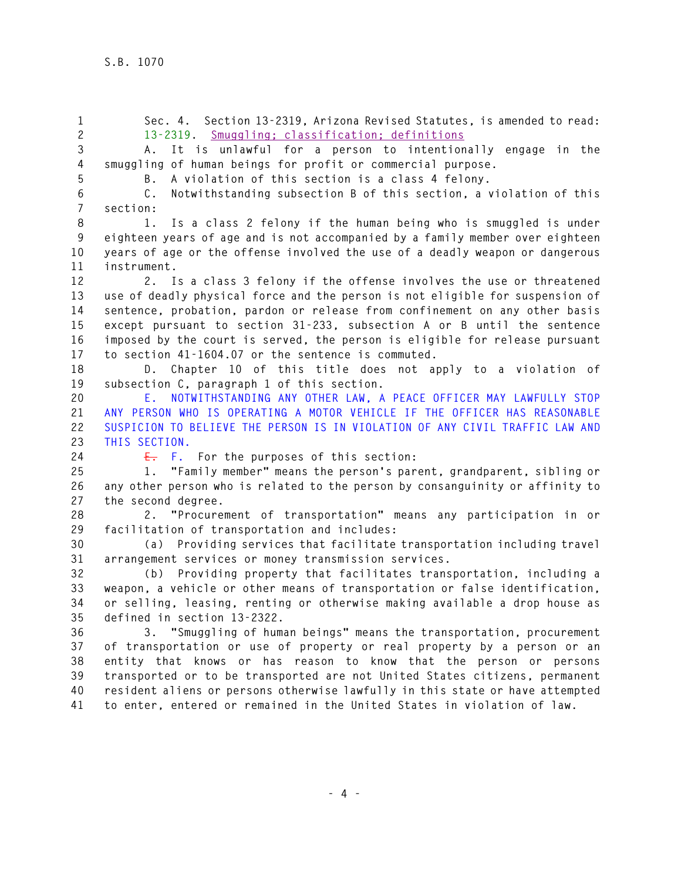**1 Sec. 4. Section 13-2319, Arizona Revised Statutes, is amended to read: 2 13-2319. Smuggling; classification; definitions**

**3 A. It is unlawful for a person to intentionally engage in the 4 smuggling of human beings for profit or commercial purpose.** 

**5 B. A violation of this section is a class 4 felony.** 

**6 C. Notwithstanding subsection B of this section, a violation of this 7 section:** 

**8 1. Is a class 2 felony if the human being who is smuggled is under 9 eighteen years of age and is not accompanied by a family member over eighteen 10 years of age or the offense involved the use of a deadly weapon or dangerous 11 instrument.** 

**12 2. Is a class 3 felony if the offense involves the use or threatened 13 use of deadly physical force and the person is not eligible for suspension of 14 sentence, probation, pardon or release from confinement on any other basis 15 except pursuant to section 31-233, subsection A or B until the sentence 16 imposed by the court is served, the person is eligible for release pursuant 17 to section 41-1604.07 or the sentence is commuted.** 

**18 D. Chapter 10 of this title does not apply to a violation of 19 subsection C, paragraph 1 of this section.** 

**20 E. NOTWITHSTANDING ANY OTHER LAW, A PEACE OFFICER MAY LAWFULLY STOP 21 ANY PERSON WHO IS OPERATING A MOTOR VEHICLE IF THE OFFICER HAS REASONABLE 22 SUSPICION TO BELIEVE THE PERSON IS IN VIOLATION OF ANY CIVIL TRAFFIC LAW AND 23 THIS SECTION.** 

**24 E. F. For the purposes of this section:** 

**25 1. "Family member" means the person's parent, grandparent, sibling or 26 any other person who is related to the person by consanguinity or affinity to 27 the second degree.** 

**28 2. "Procurement of transportation" means any participation in or 29 facilitation of transportation and includes:** 

**30 (a) Providing services that facilitate transportation including travel 31 arrangement services or money transmission services.** 

**32 (b) Providing property that facilitates transportation, including a 33 weapon, a vehicle or other means of transportation or false identification, 34 or selling, leasing, renting or otherwise making available a drop house as 35 defined in section 13-2322.** 

**36 3. "Smuggling of human beings" means the transportation, procurement 37 of transportation or use of property or real property by a person or an 38 entity that knows or has reason to know that the person or persons 39 transported or to be transported are not United States citizens, permanent 40 resident aliens or persons otherwise lawfully in this state or have attempted 41 to enter, entered or remained in the United States in violation of law.**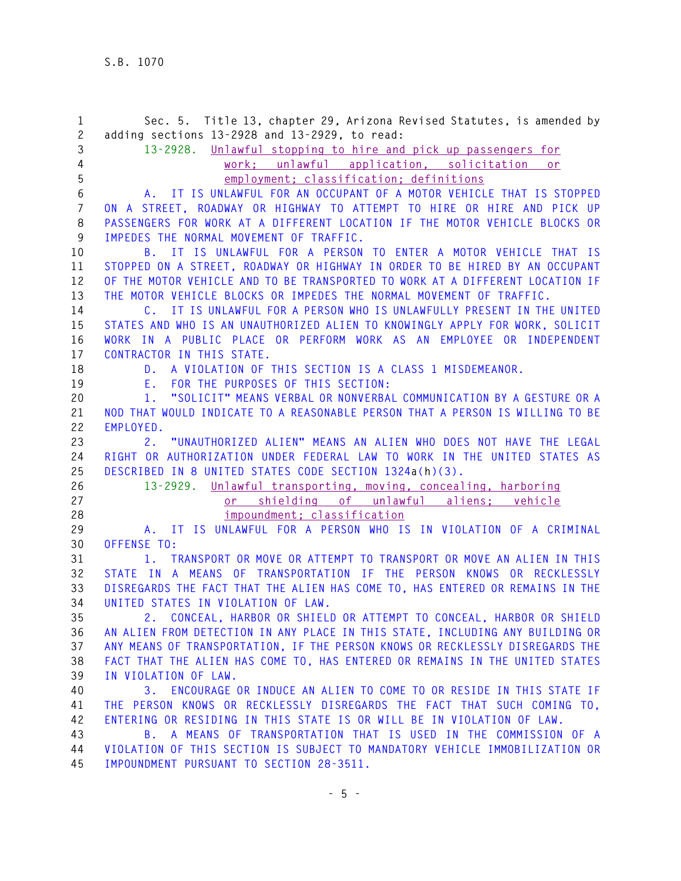**1 Sec. 5. Title 13, chapter 29, Arizona Revised Statutes, is amended by 2 adding sections 13-2928 and 13-2929, to read: 3 13-2928. Unlawful stopping to hire and pick up passengers for 4 work; unlawful application, solicitation or 5 employment; classification; definitions 6 A. IT IS UNLAWFUL FOR AN OCCUPANT OF A MOTOR VEHICLE THAT IS STOPPED 7 ON A STREET, ROADWAY OR HIGHWAY TO ATTEMPT TO HIRE OR HIRE AND PICK UP 8 PASSENGERS FOR WORK AT A DIFFERENT LOCATION IF THE MOTOR VEHICLE BLOCKS OR 9 IMPEDES THE NORMAL MOVEMENT OF TRAFFIC. 10 B. IT IS UNLAWFUL FOR A PERSON TO ENTER A MOTOR VEHICLE THAT IS 11 STOPPED ON A STREET, ROADWAY OR HIGHWAY IN ORDER TO BE HIRED BY AN OCCUPANT 12 OF THE MOTOR VEHICLE AND TO BE TRANSPORTED TO WORK AT A DIFFERENT LOCATION IF 13 THE MOTOR VEHICLE BLOCKS OR IMPEDES THE NORMAL MOVEMENT OF TRAFFIC. 14 C. IT IS UNLAWFUL FOR A PERSON WHO IS UNLAWFULLY PRESENT IN THE UNITED 15 STATES AND WHO IS AN UNAUTHORIZED ALIEN TO KNOWINGLY APPLY FOR WORK, SOLICIT 16 WORK IN A PUBLIC PLACE OR PERFORM WORK AS AN EMPLOYEE OR INDEPENDENT 17 CONTRACTOR IN THIS STATE. 18 D. A VIOLATION OF THIS SECTION IS A CLASS 1 MISDEMEANOR. 19 E. FOR THE PURPOSES OF THIS SECTION: 20 1. "SOLICIT" MEANS VERBAL OR NONVERBAL COMMUNICATION BY A GESTURE OR A 21 NOD THAT WOULD INDICATE TO A REASONABLE PERSON THAT A PERSON IS WILLING TO BE 22 EMPLOYED. 23 2. "UNAUTHORIZED ALIEN" MEANS AN ALIEN WHO DOES NOT HAVE THE LEGAL 24 RIGHT OR AUTHORIZATION UNDER FEDERAL LAW TO WORK IN THE UNITED STATES AS 25 DESCRIBED IN 8 UNITED STATES CODE SECTION 1324a(h)(3). 26 13-2929. Unlawful transporting, moving, concealing, harboring 27 or shielding of unlawful aliens; vehicle 28 impoundment; classification 29 A. IT IS UNLAWFUL FOR A PERSON WHO IS IN VIOLATION OF A CRIMINAL 30 OFFENSE TO: 31 1. TRANSPORT OR MOVE OR ATTEMPT TO TRANSPORT OR MOVE AN ALIEN IN THIS 32 STATE IN A MEANS OF TRANSPORTATION IF THE PERSON KNOWS OR RECKLESSLY 33 DISREGARDS THE FACT THAT THE ALIEN HAS COME TO, HAS ENTERED OR REMAINS IN THE 34 UNITED STATES IN VIOLATION OF LAW. 35 2. CONCEAL, HARBOR OR SHIELD OR ATTEMPT TO CONCEAL, HARBOR OR SHIELD 36 AN ALIEN FROM DETECTION IN ANY PLACE IN THIS STATE, INCLUDING ANY BUILDING OR 37 ANY MEANS OF TRANSPORTATION, IF THE PERSON KNOWS OR RECKLESSLY DISREGARDS THE 38 FACT THAT THE ALIEN HAS COME TO, HAS ENTERED OR REMAINS IN THE UNITED STATES 39 IN VIOLATION OF LAW. 40 3. ENCOURAGE OR INDUCE AN ALIEN TO COME TO OR RESIDE IN THIS STATE IF 41 THE PERSON KNOWS OR RECKLESSLY DISREGARDS THE FACT THAT SUCH COMING TO, 42 ENTERING OR RESIDING IN THIS STATE IS OR WILL BE IN VIOLATION OF LAW. 43 B. A MEANS OF TRANSPORTATION THAT IS USED IN THE COMMISSION OF A 44 VIOLATION OF THIS SECTION IS SUBJECT TO MANDATORY VEHICLE IMMOBILIZATION OR 45 IMPOUNDMENT PURSUANT TO SECTION 28-3511.**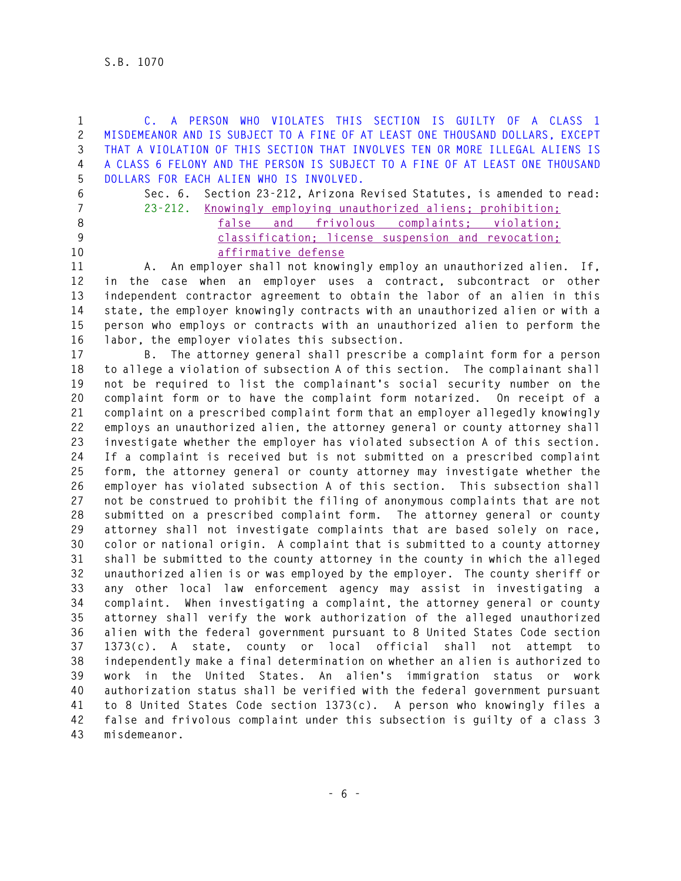**1 C. A PERSON WHO VIOLATES THIS SECTION IS GUILTY OF A CLASS 1 2 MISDEMEANOR AND IS SUBJECT TO A FINE OF AT LEAST ONE THOUSAND DOLLARS, EXCEPT 3 THAT A VIOLATION OF THIS SECTION THAT INVOLVES TEN OR MORE ILLEGAL ALIENS IS 4 A CLASS 6 FELONY AND THE PERSON IS SUBJECT TO A FINE OF AT LEAST ONE THOUSAND 5 DOLLARS FOR EACH ALIEN WHO IS INVOLVED.** 

- 
- 

**6 Sec. 6. Section 23-212, Arizona Revised Statutes, is amended to read: 7 23-212. Knowingly employing unauthorized aliens; prohibition; 8 false and frivolous complaints; violation; 9 classification; license suspension and revocation; 10 affirmative defense**

**11 A. An employer shall not knowingly employ an unauthorized alien. If, 12 in the case when an employer uses a contract, subcontract or other 13 independent contractor agreement to obtain the labor of an alien in this 14 state, the employer knowingly contracts with an unauthorized alien or with a 15 person who employs or contracts with an unauthorized alien to perform the 16 labor, the employer violates this subsection.** 

**17 B. The attorney general shall prescribe a complaint form for a person 18 to allege a violation of subsection A of this section. The complainant shall 19 not be required to list the complainant's social security number on the 20 complaint form or to have the complaint form notarized. On receipt of a 21 complaint on a prescribed complaint form that an employer allegedly knowingly 22 employs an unauthorized alien, the attorney general or county attorney shall 23 investigate whether the employer has violated subsection A of this section. 24 If a complaint is received but is not submitted on a prescribed complaint 25 form, the attorney general or county attorney may investigate whether the 26 employer has violated subsection A of this section. This subsection shall 27 not be construed to prohibit the filing of anonymous complaints that are not 28 submitted on a prescribed complaint form. The attorney general or county 29 attorney shall not investigate complaints that are based solely on race, 30 color or national origin. A complaint that is submitted to a county attorney 31 shall be submitted to the county attorney in the county in which the alleged 32 unauthorized alien is or was employed by the employer. The county sheriff or 33 any other local law enforcement agency may assist in investigating a 34 complaint. When investigating a complaint, the attorney general or county 35 attorney shall verify the work authorization of the alleged unauthorized 36 alien with the federal government pursuant to 8 United States Code section 37 1373(c). A state, county or local official shall not attempt to 38 independently make a final determination on whether an alien is authorized to 39 work in the United States. An alien's immigration status or work 40 authorization status shall be verified with the federal government pursuant 41 to 8 United States Code section 1373(c). A person who knowingly files a 42 false and frivolous complaint under this subsection is guilty of a class 3 43 misdemeanor.**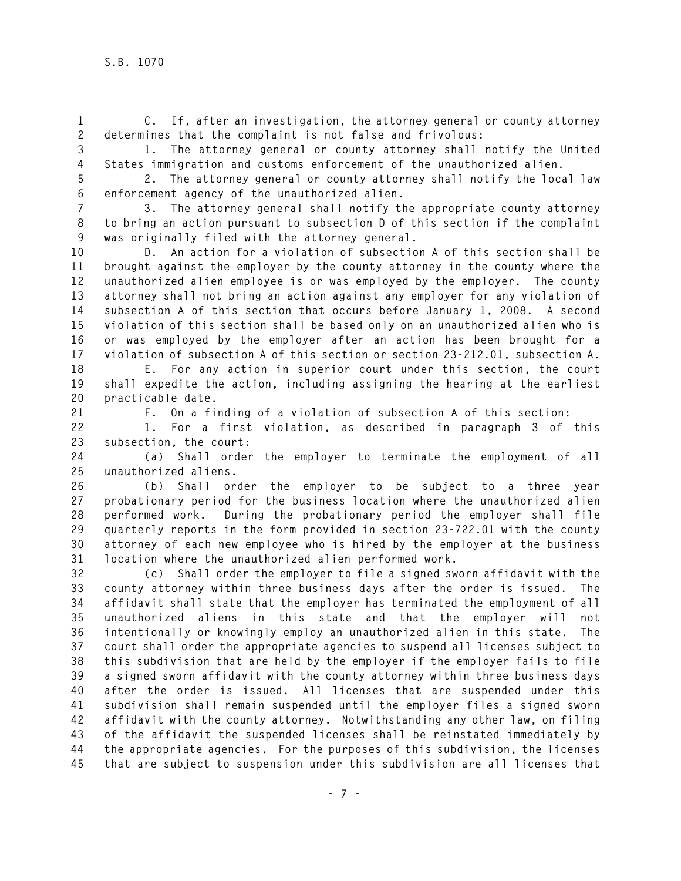**1 C. If, after an investigation, the attorney general or county attorney 2 determines that the complaint is not false and frivolous:** 

**3 1. The attorney general or county attorney shall notify the United 4 States immigration and customs enforcement of the unauthorized alien.** 

**5 2. The attorney general or county attorney shall notify the local law 6 enforcement agency of the unauthorized alien.** 

**7 3. The attorney general shall notify the appropriate county attorney 8 to bring an action pursuant to subsection D of this section if the complaint 9 was originally filed with the attorney general.** 

**10 D. An action for a violation of subsection A of this section shall be 11 brought against the employer by the county attorney in the county where the 12 unauthorized alien employee is or was employed by the employer. The county 13 attorney shall not bring an action against any employer for any violation of 14 subsection A of this section that occurs before January 1, 2008. A second 15 violation of this section shall be based only on an unauthorized alien who is 16 or was employed by the employer after an action has been brought for a 17 violation of subsection A of this section or section 23-212.01, subsection A.** 

**18 E. For any action in superior court under this section, the court 19 shall expedite the action, including assigning the hearing at the earliest 20 practicable date.** 

**21 F. On a finding of a violation of subsection A of this section:** 

**22 1. For a first violation, as described in paragraph 3 of this 23 subsection, the court:** 

**24 (a) Shall order the employer to terminate the employment of all 25 unauthorized aliens.** 

**26 (b) Shall order the employer to be subject to a three year 27 probationary period for the business location where the unauthorized alien 28 performed work. During the probationary period the employer shall file 29 quarterly reports in the form provided in section 23-722.01 with the county 30 attorney of each new employee who is hired by the employer at the business 31 location where the unauthorized alien performed work.** 

**32 (c) Shall order the employer to file a signed sworn affidavit with the 33 county attorney within three business days after the order is issued. The 34 affidavit shall state that the employer has terminated the employment of all 35 unauthorized aliens in this state and that the employer will not 36 intentionally or knowingly employ an unauthorized alien in this state. The 37 court shall order the appropriate agencies to suspend all licenses subject to 38 this subdivision that are held by the employer if the employer fails to file 39 a signed sworn affidavit with the county attorney within three business days 40 after the order is issued. All licenses that are suspended under this 41 subdivision shall remain suspended until the employer files a signed sworn 42 affidavit with the county attorney. Notwithstanding any other law, on filing 43 of the affidavit the suspended licenses shall be reinstated immediately by 44 the appropriate agencies. For the purposes of this subdivision, the licenses 45 that are subject to suspension under this subdivision are all licenses that**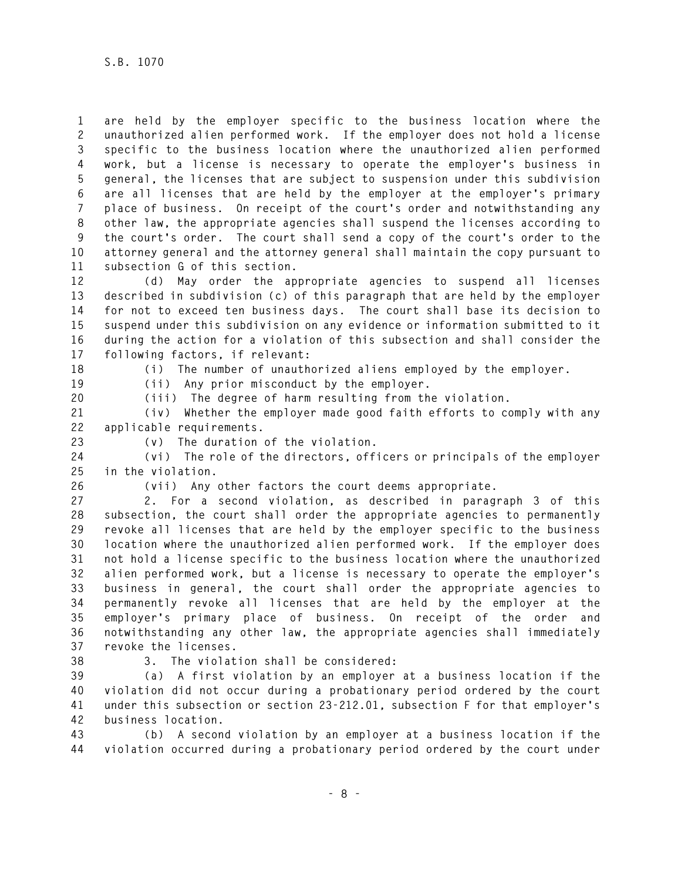**1 are held by the employer specific to the business location where the 2 unauthorized alien performed work. If the employer does not hold a license 3 specific to the business location where the unauthorized alien performed 4 work, but a license is necessary to operate the employer's business in 5 general, the licenses that are subject to suspension under this subdivision 6 are all licenses that are held by the employer at the employer's primary 7 place of business. On receipt of the court's order and notwithstanding any 8 other law, the appropriate agencies shall suspend the licenses according to 9 the court's order. The court shall send a copy of the court's order to the 10 attorney general and the attorney general shall maintain the copy pursuant to 11 subsection G of this section.** 

**12 (d) May order the appropriate agencies to suspend all licenses 13 described in subdivision (c) of this paragraph that are held by the employer 14 for not to exceed ten business days. The court shall base its decision to 15 suspend under this subdivision on any evidence or information submitted to it 16 during the action for a violation of this subsection and shall consider the 17 following factors, if relevant:** 

**18 (i) The number of unauthorized aliens employed by the employer.** 

**19 (ii) Any prior misconduct by the employer.** 

**20 (iii) The degree of harm resulting from the violation.** 

**21 (iv) Whether the employer made good faith efforts to comply with any 22 applicable requirements.** 

**23 (v) The duration of the violation.** 

**24 (vi) The role of the directors, officers or principals of the employer 25 in the violation.** 

**26 (vii) Any other factors the court deems appropriate.** 

**27 2. For a second violation, as described in paragraph 3 of this 28 subsection, the court shall order the appropriate agencies to permanently 29 revoke all licenses that are held by the employer specific to the business 30 location where the unauthorized alien performed work. If the employer does 31 not hold a license specific to the business location where the unauthorized 32 alien performed work, but a license is necessary to operate the employer's 33 business in general, the court shall order the appropriate agencies to 34 permanently revoke all licenses that are held by the employer at the 35 employer's primary place of business. On receipt of the order and 36 notwithstanding any other law, the appropriate agencies shall immediately 37 revoke the licenses.** 

**38 3. The violation shall be considered:** 

**39 (a) A first violation by an employer at a business location if the 40 violation did not occur during a probationary period ordered by the court 41 under this subsection or section 23-212.01, subsection F for that employer's 42 business location.** 

**43 (b) A second violation by an employer at a business location if the 44 violation occurred during a probationary period ordered by the court under**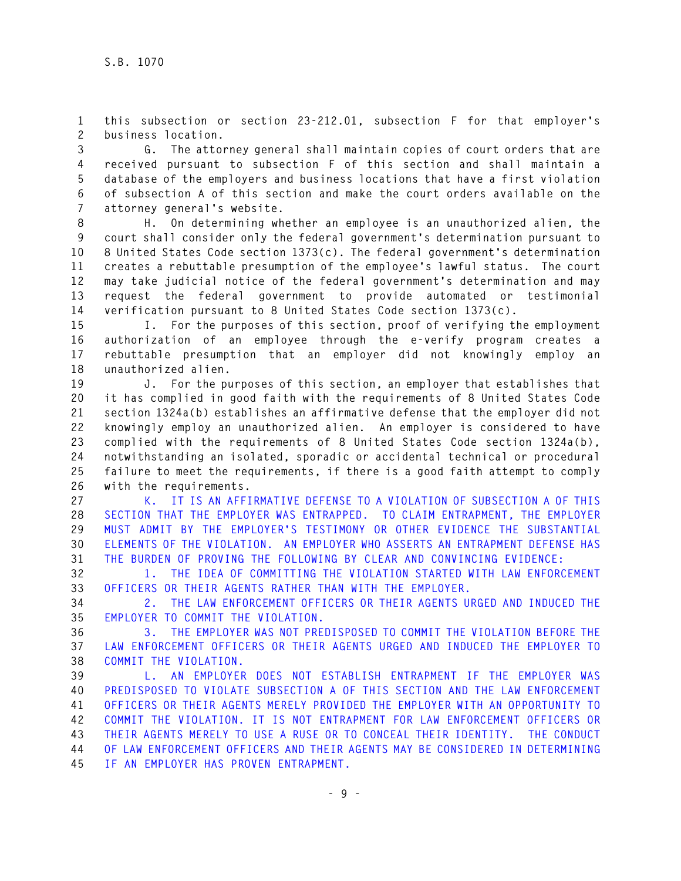**1 this subsection or section 23-212.01, subsection F for that employer's 2 business location.** 

**3 G. The attorney general shall maintain copies of court orders that are 4 received pursuant to subsection F of this section and shall maintain a 5 database of the employers and business locations that have a first violation 6 of subsection A of this section and make the court orders available on the 7 attorney general's website.** 

**8 H. On determining whether an employee is an unauthorized alien, the 9 court shall consider only the federal government's determination pursuant to 10 8 United States Code section 1373(c). The federal government's determination 11 creates a rebuttable presumption of the employee's lawful status. The court 12 may take judicial notice of the federal government's determination and may 13 request the federal government to provide automated or testimonial 14 verification pursuant to 8 United States Code section 1373(c).** 

**15 I. For the purposes of this section, proof of verifying the employment 16 authorization of an employee through the e-verify program creates a 17 rebuttable presumption that an employer did not knowingly employ an 18 unauthorized alien.** 

**19 J. For the purposes of this section, an employer that establishes that 20 it has complied in good faith with the requirements of 8 United States Code 21 section 1324a(b) establishes an affirmative defense that the employer did not 22 knowingly employ an unauthorized alien. An employer is considered to have 23 complied with the requirements of 8 United States Code section 1324a(b), 24 notwithstanding an isolated, sporadic or accidental technical or procedural 25 failure to meet the requirements, if there is a good faith attempt to comply 26 with the requirements.** 

**27 K. IT IS AN AFFIRMATIVE DEFENSE TO A VIOLATION OF SUBSECTION A OF THIS 28 SECTION THAT THE EMPLOYER WAS ENTRAPPED. TO CLAIM ENTRAPMENT, THE EMPLOYER 29 MUST ADMIT BY THE EMPLOYER'S TESTIMONY OR OTHER EVIDENCE THE SUBSTANTIAL 30 ELEMENTS OF THE VIOLATION. AN EMPLOYER WHO ASSERTS AN ENTRAPMENT DEFENSE HAS 31 THE BURDEN OF PROVING THE FOLLOWING BY CLEAR AND CONVINCING EVIDENCE:** 

**32 1. THE IDEA OF COMMITTING THE VIOLATION STARTED WITH LAW ENFORCEMENT 33 OFFICERS OR THEIR AGENTS RATHER THAN WITH THE EMPLOYER.** 

**34 2. THE LAW ENFORCEMENT OFFICERS OR THEIR AGENTS URGED AND INDUCED THE 35 EMPLOYER TO COMMIT THE VIOLATION.** 

**36 3. THE EMPLOYER WAS NOT PREDISPOSED TO COMMIT THE VIOLATION BEFORE THE 37 LAW ENFORCEMENT OFFICERS OR THEIR AGENTS URGED AND INDUCED THE EMPLOYER TO 38 COMMIT THE VIOLATION.** 

**39 L. AN EMPLOYER DOES NOT ESTABLISH ENTRAPMENT IF THE EMPLOYER WAS 40 PREDISPOSED TO VIOLATE SUBSECTION A OF THIS SECTION AND THE LAW ENFORCEMENT 41 OFFICERS OR THEIR AGENTS MERELY PROVIDED THE EMPLOYER WITH AN OPPORTUNITY TO 42 COMMIT THE VIOLATION. IT IS NOT ENTRAPMENT FOR LAW ENFORCEMENT OFFICERS OR 43 THEIR AGENTS MERELY TO USE A RUSE OR TO CONCEAL THEIR IDENTITY. THE CONDUCT 44 OF LAW ENFORCEMENT OFFICERS AND THEIR AGENTS MAY BE CONSIDERED IN DETERMINING 45 IF AN EMPLOYER HAS PROVEN ENTRAPMENT.**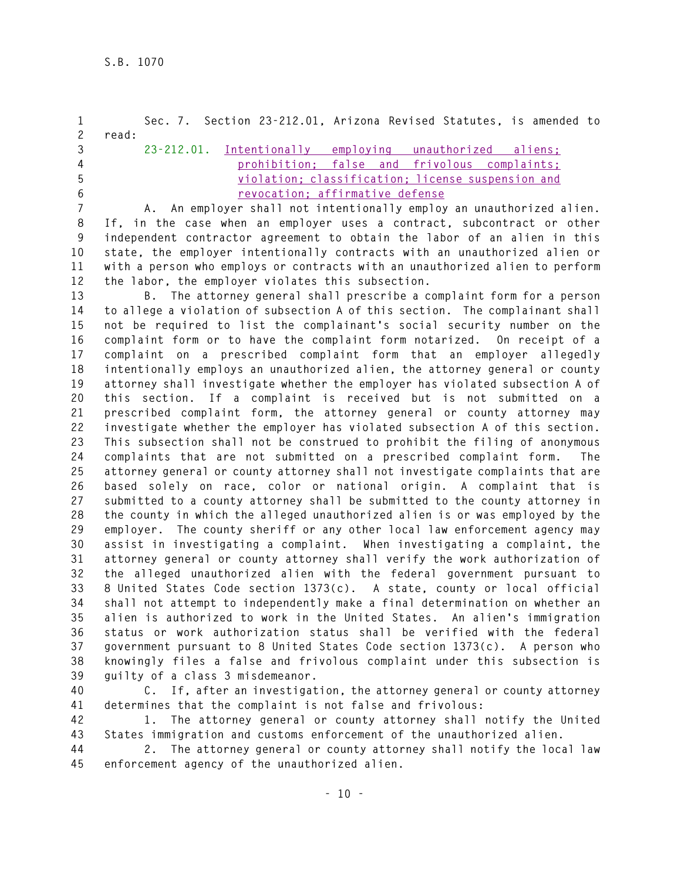| $\mathcal{P}$ | Sec. 7. Section 23-212.01, Arizona Revised Statutes, is amended to<br>read:  |
|---------------|------------------------------------------------------------------------------|
| 3             | 23-212.01. Intentionally employing unauthorized aliens:                      |
| 4             | prohibition: false and frivolous complaints:                                 |
| 5             | violation: classification: license suspension and                            |
| 6             | revocation: affirmative defense                                              |
|               | A. An employer shall not intentionally employ an unauthorized alien.         |
| 8             | If, in the case when an employer uses a contract, subcontract or other       |
| 9             | independent contractor agreement to obtain the labor of an alien in this     |
| 10            | state, the employer intentionally contracts with an unauthorized alien or    |
| 11            | with a person who employs or contracts with an unauthorized alien to perform |
| 12            | the labor, the employer violates this subsection.                            |
| 13            | B. The attorney general shall prescribe a complaint form for a person        |
| 14            | to allege a violation of subsection A of this section. The complainant shall |
| 15            | not be required to list the complainant's social security number on the      |

**15 not be required to list the complainant's social security number on the 16 complaint form or to have the complaint form notarized. On receipt of a 17 complaint on a prescribed complaint form that an employer allegedly 18 intentionally employs an unauthorized alien, the attorney general or county 19 attorney shall investigate whether the employer has violated subsection A of 20 this section. If a complaint is received but is not submitted on a 21 prescribed complaint form, the attorney general or county attorney may 22 investigate whether the employer has violated subsection A of this section. 23 This subsection shall not be construed to prohibit the filing of anonymous 24 complaints that are not submitted on a prescribed complaint form. The 25 attorney general or county attorney shall not investigate complaints that are 26 based solely on race, color or national origin. A complaint that is 27 submitted to a county attorney shall be submitted to the county attorney in 28 the county in which the alleged unauthorized alien is or was employed by the 29 employer. The county sheriff or any other local law enforcement agency may 30 assist in investigating a complaint. When investigating a complaint, the 31 attorney general or county attorney shall verify the work authorization of 32 the alleged unauthorized alien with the federal government pursuant to 33 8 United States Code section 1373(c). A state, county or local official 34 shall not attempt to independently make a final determination on whether an 35 alien is authorized to work in the United States. An alien's immigration 36 status or work authorization status shall be verified with the federal 37 government pursuant to 8 United States Code section 1373(c). A person who 38 knowingly files a false and frivolous complaint under this subsection is 39 guilty of a class 3 misdemeanor.** 

**40 C. If, after an investigation, the attorney general or county attorney 41 determines that the complaint is not false and frivolous:** 

**42 1. The attorney general or county attorney shall notify the United 43 States immigration and customs enforcement of the unauthorized alien.** 

**44 2. The attorney general or county attorney shall notify the local law 45 enforcement agency of the unauthorized alien.**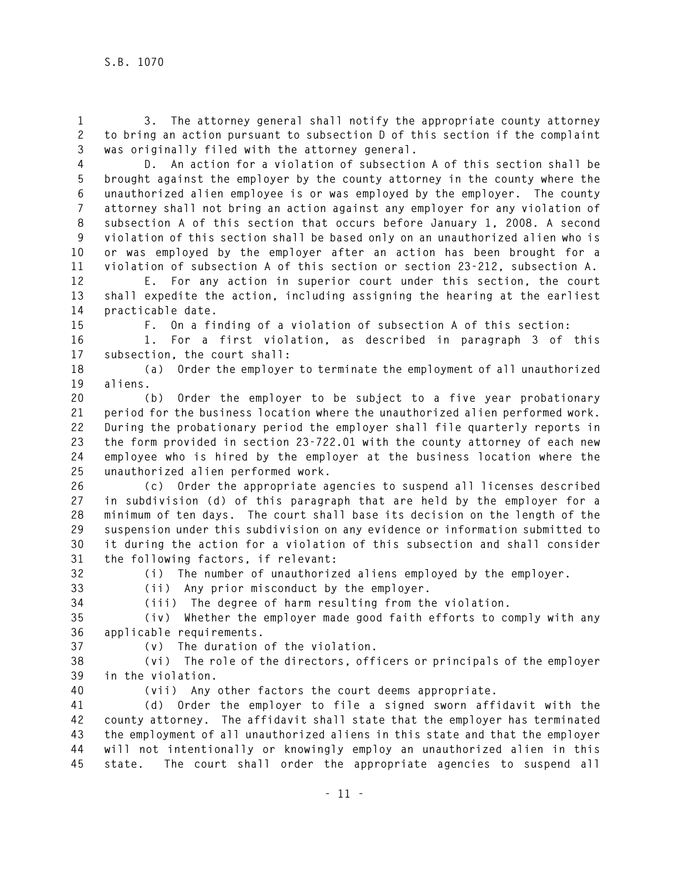**1 3. The attorney general shall notify the appropriate county attorney 2 to bring an action pursuant to subsection D of this section if the complaint 3 was originally filed with the attorney general.** 

**4 D. An action for a violation of subsection A of this section shall be 5 brought against the employer by the county attorney in the county where the 6 unauthorized alien employee is or was employed by the employer. The county 7 attorney shall not bring an action against any employer for any violation of 8 subsection A of this section that occurs before January 1, 2008. A second 9 violation of this section shall be based only on an unauthorized alien who is 10 or was employed by the employer after an action has been brought for a 11 violation of subsection A of this section or section 23-212, subsection A.** 

**12 E. For any action in superior court under this section, the court 13 shall expedite the action, including assigning the hearing at the earliest 14 practicable date.** 

**15 F. On a finding of a violation of subsection A of this section:** 

**16 1. For a first violation, as described in paragraph 3 of this 17 subsection, the court shall:** 

**18 (a) Order the employer to terminate the employment of all unauthorized 19 aliens.** 

**20 (b) Order the employer to be subject to a five year probationary 21 period for the business location where the unauthorized alien performed work. 22 During the probationary period the employer shall file quarterly reports in 23 the form provided in section 23-722.01 with the county attorney of each new 24 employee who is hired by the employer at the business location where the 25 unauthorized alien performed work.** 

**26 (c) Order the appropriate agencies to suspend all licenses described 27 in subdivision (d) of this paragraph that are held by the employer for a 28 minimum of ten days. The court shall base its decision on the length of the 29 suspension under this subdivision on any evidence or information submitted to 30 it during the action for a violation of this subsection and shall consider 31 the following factors, if relevant:** 

**32 (i) The number of unauthorized aliens employed by the employer.** 

**33 (ii) Any prior misconduct by the employer.** 

**34 (iii) The degree of harm resulting from the violation.** 

**35 (iv) Whether the employer made good faith efforts to comply with any 36 applicable requirements.** 

**37 (v) The duration of the violation.** 

**38 (vi) The role of the directors, officers or principals of the employer 39 in the violation.** 

**40 (vii) Any other factors the court deems appropriate.** 

**41 (d) Order the employer to file a signed sworn affidavit with the 42 county attorney. The affidavit shall state that the employer has terminated 43 the employment of all unauthorized aliens in this state and that the employer 44 will not intentionally or knowingly employ an unauthorized alien in this 45 state. The court shall order the appropriate agencies to suspend all**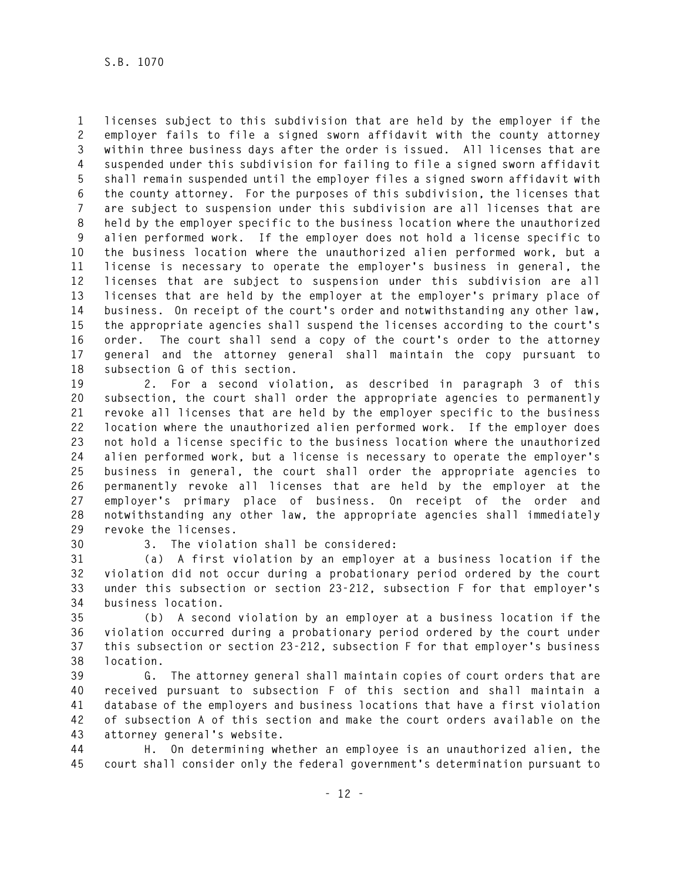**1 licenses subject to this subdivision that are held by the employer if the 2 employer fails to file a signed sworn affidavit with the county attorney 3 within three business days after the order is issued. All licenses that are 4 suspended under this subdivision for failing to file a signed sworn affidavit 5 shall remain suspended until the employer files a signed sworn affidavit with 6 the county attorney. For the purposes of this subdivision, the licenses that 7 are subject to suspension under this subdivision are all licenses that are 8 held by the employer specific to the business location where the unauthorized 9 alien performed work. If the employer does not hold a license specific to 10 the business location where the unauthorized alien performed work, but a 11 license is necessary to operate the employer's business in general, the 12 licenses that are subject to suspension under this subdivision are all 13 licenses that are held by the employer at the employer's primary place of 14 business. On receipt of the court's order and notwithstanding any other law, 15 the appropriate agencies shall suspend the licenses according to the court's 16 order. The court shall send a copy of the court's order to the attorney 17 general and the attorney general shall maintain the copy pursuant to 18 subsection G of this section.** 

**19 2. For a second violation, as described in paragraph 3 of this 20 subsection, the court shall order the appropriate agencies to permanently 21 revoke all licenses that are held by the employer specific to the business 22 location where the unauthorized alien performed work. If the employer does 23 not hold a license specific to the business location where the unauthorized 24 alien performed work, but a license is necessary to operate the employer's 25 business in general, the court shall order the appropriate agencies to 26 permanently revoke all licenses that are held by the employer at the 27 employer's primary place of business. On receipt of the order and 28 notwithstanding any other law, the appropriate agencies shall immediately 29 revoke the licenses.** 

**30 3. The violation shall be considered:** 

**31 (a) A first violation by an employer at a business location if the 32 violation did not occur during a probationary period ordered by the court 33 under this subsection or section 23-212, subsection F for that employer's 34 business location.** 

**35 (b) A second violation by an employer at a business location if the 36 violation occurred during a probationary period ordered by the court under 37 this subsection or section 23-212, subsection F for that employer's business 38 location.** 

**39 G. The attorney general shall maintain copies of court orders that are 40 received pursuant to subsection F of this section and shall maintain a 41 database of the employers and business locations that have a first violation 42 of subsection A of this section and make the court orders available on the 43 attorney general's website.** 

**44 H. On determining whether an employee is an unauthorized alien, the 45 court shall consider only the federal government's determination pursuant to**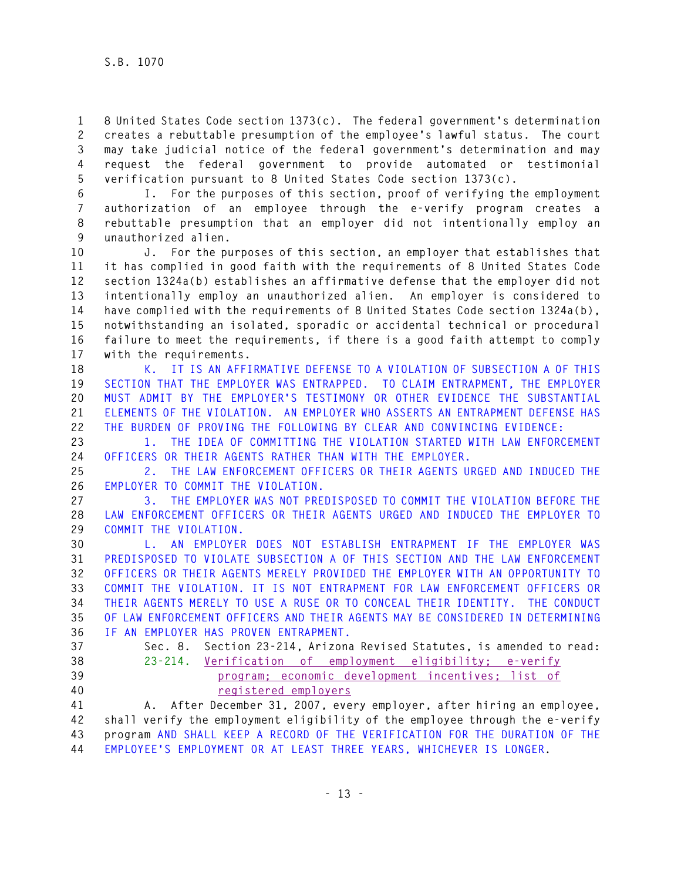**1 8 United States Code section 1373(c). The federal government's determination 2 creates a rebuttable presumption of the employee's lawful status. The court 3 may take judicial notice of the federal government's determination and may 4 request the federal government to provide automated or testimonial 5 verification pursuant to 8 United States Code section 1373(c).** 

**6 I. For the purposes of this section, proof of verifying the employment 7 authorization of an employee through the e-verify program creates a 8 rebuttable presumption that an employer did not intentionally employ an 9 unauthorized alien.** 

**10 J. For the purposes of this section, an employer that establishes that 11 it has complied in good faith with the requirements of 8 United States Code 12 section 1324a(b) establishes an affirmative defense that the employer did not 13 intentionally employ an unauthorized alien. An employer is considered to 14 have complied with the requirements of 8 United States Code section 1324a(b), 15 notwithstanding an isolated, sporadic or accidental technical or procedural 16 failure to meet the requirements, if there is a good faith attempt to comply 17 with the requirements.** 

**18 K. IT IS AN AFFIRMATIVE DEFENSE TO A VIOLATION OF SUBSECTION A OF THIS 19 SECTION THAT THE EMPLOYER WAS ENTRAPPED. TO CLAIM ENTRAPMENT, THE EMPLOYER 20 MUST ADMIT BY THE EMPLOYER'S TESTIMONY OR OTHER EVIDENCE THE SUBSTANTIAL 21 ELEMENTS OF THE VIOLATION. AN EMPLOYER WHO ASSERTS AN ENTRAPMENT DEFENSE HAS 22 THE BURDEN OF PROVING THE FOLLOWING BY CLEAR AND CONVINCING EVIDENCE:** 

**23 1. THE IDEA OF COMMITTING THE VIOLATION STARTED WITH LAW ENFORCEMENT 24 OFFICERS OR THEIR AGENTS RATHER THAN WITH THE EMPLOYER.** 

**25 2. THE LAW ENFORCEMENT OFFICERS OR THEIR AGENTS URGED AND INDUCED THE 26 EMPLOYER TO COMMIT THE VIOLATION.** 

**27 3. THE EMPLOYER WAS NOT PREDISPOSED TO COMMIT THE VIOLATION BEFORE THE 28 LAW ENFORCEMENT OFFICERS OR THEIR AGENTS URGED AND INDUCED THE EMPLOYER TO 29 COMMIT THE VIOLATION.** 

**30 L. AN EMPLOYER DOES NOT ESTABLISH ENTRAPMENT IF THE EMPLOYER WAS 31 PREDISPOSED TO VIOLATE SUBSECTION A OF THIS SECTION AND THE LAW ENFORCEMENT 32 OFFICERS OR THEIR AGENTS MERELY PROVIDED THE EMPLOYER WITH AN OPPORTUNITY TO 33 COMMIT THE VIOLATION. IT IS NOT ENTRAPMENT FOR LAW ENFORCEMENT OFFICERS OR 34 THEIR AGENTS MERELY TO USE A RUSE OR TO CONCEAL THEIR IDENTITY. THE CONDUCT 35 OF LAW ENFORCEMENT OFFICERS AND THEIR AGENTS MAY BE CONSIDERED IN DETERMINING 36 IF AN EMPLOYER HAS PROVEN ENTRAPMENT.** 

- 
- 

**37 Sec. 8. Section 23-214, Arizona Revised Statutes, is amended to read: 38 23-214. Verification of employment eligibility; e-verify 39 program; economic development incentives; list of 40 registered employers**

**41 A. After December 31, 2007, every employer, after hiring an employee, 42 shall verify the employment eligibility of the employee through the e-verify 43 program AND SHALL KEEP A RECORD OF THE VERIFICATION FOR THE DURATION OF THE 44 EMPLOYEE'S EMPLOYMENT OR AT LEAST THREE YEARS, WHICHEVER IS LONGER.**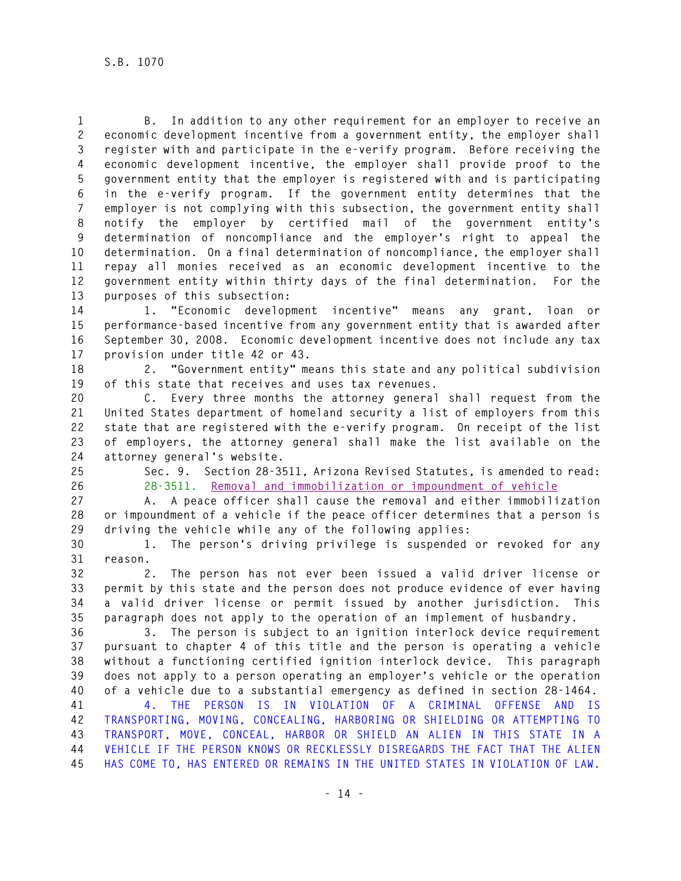**1 B. In addition to any other requirement for an employer to receive an 2 economic development incentive from a government entity, the employer shall 3 register with and participate in the e-verify program. Before receiving the 4 economic development incentive, the employer shall provide proof to the 5 government entity that the employer is registered with and is participating 6 in the e-verify program. If the government entity determines that the 7 employer is not complying with this subsection, the government entity shall 8 notify the employer by certified mail of the government entity's 9 determination of noncompliance and the employer's right to appeal the 10 determination. On a final determination of noncompliance, the employer shall 11 repay all monies received as an economic development incentive to the 12 government entity within thirty days of the final determination. For the 13 purposes of this subsection:** 

**14 1. "Economic development incentive" means any grant, loan or 15 performance-based incentive from any government entity that is awarded after 16 September 30, 2008. Economic development incentive does not include any tax 17 provision under title 42 or 43.** 

**18 2. "Government entity" means this state and any political subdivision 19 of this state that receives and uses tax revenues.** 

**20 C. Every three months the attorney general shall request from the 21 United States department of homeland security a list of employers from this 22 state that are registered with the e-verify program. On receipt of the list 23 of employers, the attorney general shall make the list available on the 24 attorney general's website.** 

- 
- 

**25 Sec. 9. Section 28-3511, Arizona Revised Statutes, is amended to read: 26 28-3511. Removal and immobilization or impoundment of vehicle**

**27 A. A peace officer shall cause the removal and either immobilization 28 or impoundment of a vehicle if the peace officer determines that a person is 29 driving the vehicle while any of the following applies:** 

**30 1. The person's driving privilege is suspended or revoked for any 31 reason.** 

**32 2. The person has not ever been issued a valid driver license or 33 permit by this state and the person does not produce evidence of ever having 34 a valid driver license or permit issued by another jurisdiction. This 35 paragraph does not apply to the operation of an implement of husbandry.** 

**36 3. The person is subject to an ignition interlock device requirement 37 pursuant to chapter 4 of this title and the person is operating a vehicle 38 without a functioning certified ignition interlock device. This paragraph 39 does not apply to a person operating an employer's vehicle or the operation 40 of a vehicle due to a substantial emergency as defined in section 28-1464.** 

**41 4. THE PERSON IS IN VIOLATION OF A CRIMINAL OFFENSE AND IS 42 TRANSPORTING, MOVING, CONCEALING, HARBORING OR SHIELDING OR ATTEMPTING TO 43 TRANSPORT, MOVE, CONCEAL, HARBOR OR SHIELD AN ALIEN IN THIS STATE IN A 44 VEHICLE IF THE PERSON KNOWS OR RECKLESSLY DISREGARDS THE FACT THAT THE ALIEN 45 HAS COME TO, HAS ENTERED OR REMAINS IN THE UNITED STATES IN VIOLATION OF LAW.**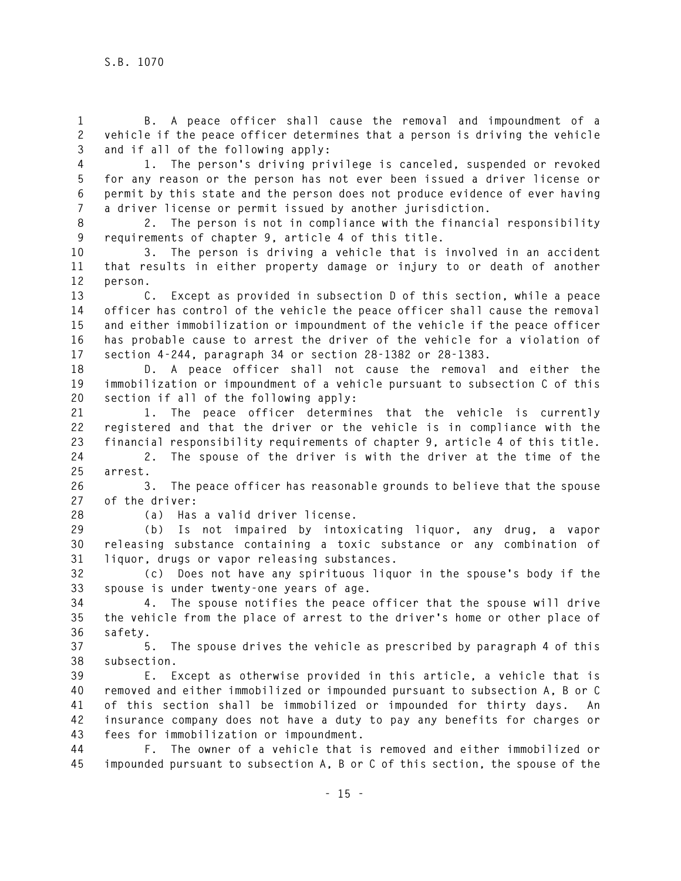**1 B. A peace officer shall cause the removal and impoundment of a 2 vehicle if the peace officer determines that a person is driving the vehicle 3 and if all of the following apply:** 

**4 1. The person's driving privilege is canceled, suspended or revoked 5 for any reason or the person has not ever been issued a driver license or 6 permit by this state and the person does not produce evidence of ever having 7 a driver license or permit issued by another jurisdiction.** 

**8 2. The person is not in compliance with the financial responsibility 9 requirements of chapter 9, article 4 of this title.** 

**10 3. The person is driving a vehicle that is involved in an accident 11 that results in either property damage or injury to or death of another 12 person.** 

**13 C. Except as provided in subsection D of this section, while a peace 14 officer has control of the vehicle the peace officer shall cause the removal 15 and either immobilization or impoundment of the vehicle if the peace officer 16 has probable cause to arrest the driver of the vehicle for a violation of 17 section 4-244, paragraph 34 or section 28-1382 or 28-1383.** 

**18 D. A peace officer shall not cause the removal and either the 19 immobilization or impoundment of a vehicle pursuant to subsection C of this 20 section if all of the following apply:** 

**21 1. The peace officer determines that the vehicle is currently 22 registered and that the driver or the vehicle is in compliance with the 23 financial responsibility requirements of chapter 9, article 4 of this title.** 

**24 2. The spouse of the driver is with the driver at the time of the 25 arrest.** 

**26 3. The peace officer has reasonable grounds to believe that the spouse 27 of the driver:** 

**28 (a) Has a valid driver license.** 

**29 (b) Is not impaired by intoxicating liquor, any drug, a vapor 30 releasing substance containing a toxic substance or any combination of 31 liquor, drugs or vapor releasing substances.** 

**32 (c) Does not have any spirituous liquor in the spouse's body if the 33 spouse is under twenty-one years of age.** 

**34 4. The spouse notifies the peace officer that the spouse will drive 35 the vehicle from the place of arrest to the driver's home or other place of 36 safety.** 

**37 5. The spouse drives the vehicle as prescribed by paragraph 4 of this 38 subsection.** 

**39 E. Except as otherwise provided in this article, a vehicle that is 40 removed and either immobilized or impounded pursuant to subsection A, B or C 41 of this section shall be immobilized or impounded for thirty days. An 42 insurance company does not have a duty to pay any benefits for charges or 43 fees for immobilization or impoundment.** 

**44 F. The owner of a vehicle that is removed and either immobilized or 45 impounded pursuant to subsection A, B or C of this section, the spouse of the**